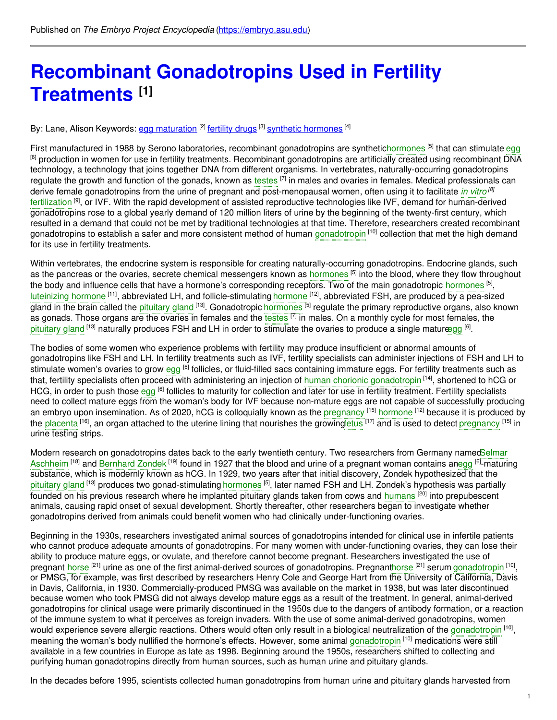# **Recombinant [Gonadotropins](https://embryo.asu.edu/pages/recombinant-gonadotropins-used-fertility-treatments) Used in Fertility Treatments [1]**

By: Lane, Alison Keywords: <u>egg [maturation](https://embryo.asu.edu/keywords/egg-maturation)</u> <sup>[2]</sup> [fertility](https://embryo.asu.edu/keywords/fertility-drugs) drugs <sup>[3]</sup> synthetic [hormones](https://embryo.asu.edu/keywords/synthetic-hormones) <sup>[4]</sup>

First manufactured in 1988 by Serono laboratories, recombinant gonadotropins are syntheti[chormones](https://embryo.asu.edu/search?text=hormones) <sup>[5]</sup> that can stimulate [egg](https://embryo.asu.edu/search?text=egg) <sup>[6]</sup> production in women for use in fertility treatments. Recombinant gonadotropins are artificially created using recombinant DNA technology, a technology that joins together DNA from different organisms. In vertebrates, naturally-occurring gonadotropins regulate the growth and function of the gonads, known as [testes](https://embryo.asu.edu/search?text=testes) [7] in males and ovaries in females. Medical professionals can derive female gonadotropins from the urine of pregnant and post-menopausal women, often using it to facilitate *in [vitro](https://embryo.asu.edu/search?text=in%20vitro) [8]* [fertilization](https://embryo.asu.edu/search?text=fertilization) <sup>[9]</sup>, or IVF. With the rapid development of assisted reproductive technologies like IVF, demand for human-derived gonadotropins rose to a global yearly demand of 120 million liters of urine by the beginning of the twenty-first century, which resulted in a demand that could not be met by traditional technologies at that time. Therefore, researchers created recombinant [gonadotropin](https://embryo.asu.edu/search?text=gonadotropin)s to establish a safer and more consistent method of human gonadotropin <sup>[10]</sup> collection that met the high demand for its use in fertility treatments.

Within vertebrates, the endocrine system is responsible for creating naturally-occurring gonadotropins. Endocrine glands, such as the pancreas or the ovaries, secrete chemical messengers known as [hormones](https://embryo.asu.edu/search?text=hormones) <sup>[5]</sup> into the blood, where they flow throughout the body and influence cells that have a hormone's corresponding receptors. Two of the main gonadotropic [hormones](https://embryo.asu.edu/search?text=hormones) <sup>[5]</sup>, [luteinizing](https://embryo.asu.edu/search?text=luteinizing%20hormone) [hormone](https://embryo.asu.edu/search?text=hormone) <sup>[11]</sup>, abbreviated LH, and follicle-stimulating hormone <sup>[12]</sup>, abbreviated FSH, are produced by a pea-sized gland in the brain called the [pituitary](https://embryo.asu.edu/search?text=pituitary%20gland) gland <sup>[13]</sup>. Gonadotropic [hormones](https://embryo.asu.edu/search?text=hormones) <sup>[5]</sup> regulate the primary reproductive organs, also known as gonads. Those organs are the ovaries in females and the [testes](https://embryo.asu.edu/search?text=testes) <sup>[7]</sup> in males. On a monthly cycle for most females, the [pituitary](https://embryo.asu.edu/search?text=pituitary%20gland) gland <sup>[13]</sup> naturally produces FSH and LH in order to stimulate the ovaries to produce a single matur<del>æ</del>gg <sup>[6]</sup>.

The bodies of some women who experience problems with fertility may produce insufficient or abnormal amounts of gonadotropins like FSH and LH. In fertility treatments such as IVF, fertility specialists can administer injections of FSH and LH to stimulate women's ovaries to grow [egg](https://embryo.asu.edu/search?text=egg) <sup>[6]</sup> follicles, or fluid-filled sacs containing immature eggs. For fertility treatments such as that, fertility specialists often proceed with administering an injection of human chorionic [gonadotropin](https://embryo.asu.edu/search?text=human%20chorionic%20gonadotropin) <sup>[14]</sup>, shortened to hCG or HCG, in order to push those [egg](https://embryo.asu.edu/search?text=egg) <sup>[6]</sup> follicles to maturity for collection and later for use in fertility treatment. Fertility specialists need to collect mature eggs from the woman's body for IVF because non-mature eggs are not capable of successfully producing an embryo upon insemination. As of 2020, hCG is colloquially known as the [pregnancy](https://embryo.asu.edu/search?text=pregnancy) <sup>[15]</sup> [hormone](https://embryo.asu.edu/search?text=hormone) <sup>[12]</sup> because it is produced by the [placenta](https://embryo.asu.edu/search?text=placenta) <sup>[16]</sup>, an organ attached to the uterine lining that nourishes the growin[gfetus](https://embryo.asu.edu/search?text=fetus) <sup>[17]</sup> and is used to detect [pregnancy](https://embryo.asu.edu/search?text=pregnancy) <sup>[15]</sup> in urine testing strips.

Modern research on [gonadotropins](https://embryo.asu.edu/search?text=Selmar%20Aschheim) dates back to the early twentieth century. Two researchers from Germany namedSelmar Aschheim <sup>[18]</sup> and [Bernhard](https://embryo.asu.edu/search?text=Bernhard%20Zondek) Zondek <sup>[19]</sup> found in 1927 that the blood and urine of a pregnant woman contains a[negg](https://embryo.asu.edu/search?text=egg) <sup>[6]</sup>-maturing substance, which is modernly known as hCG. In 1929, two years after that initial discovery, Zondek hypothesized that the [pituitary](https://embryo.asu.edu/search?text=pituitary%20gland) gland <sup>[13]</sup> produces two gonad-stimulating [hormones](https://embryo.asu.edu/search?text=hormones) <sup>[5]</sup>, later named FSH and LH. Zondek's hypothesis was partially founded on his previous research where he implanted pituitary glands taken from cows and [humans](https://embryo.asu.edu/search?text=humans) <sup>[20]</sup> into prepubescent animals, causing rapid onset of sexual development. Shortly thereafter, other researchers began to investigate whether gonadotropins derived from animals could benefit women who had clinically under-functioning ovaries.

Beginning in the 1930s, researchers investigated animal sources of gonadotropins intended for clinical use in infertile patients who cannot produce adequate amounts of gonadotropins. For many women with under-functioning ovaries, they can lose their ability to produce mature eggs, or ovulate, and therefore cannot become pregnant. Researchers investigated the use of pregnant [horse](https://embryo.asu.edu/search?text=horse) <sup>[21]</sup> urine as one of the first animal-derived sources of gonadotropins. Pregnan[thorse](https://embryo.asu.edu/search?text=horse) <sup>[21]</sup> serum [gonadotropin](https://embryo.asu.edu/search?text=gonadotropin) <sup>[10]</sup>, or PMSG, for example, was first described by researchers Henry Cole and George Hart from the University of California, Davis in Davis, California, in 1930. Commercially-produced PMSG was available on the market in 1938, but was later discontinued because women who took PMSG did not always develop mature eggs as a result of the treatment. In general, animal-derived gonadotropins for clinical usage were primarily discontinued in the 1950s due to the dangers of antibody formation, or a reaction of the immune system to what it perceives as foreign invaders. With the use of some animal-derived gonadotropins, women would experience severe allergic reactions. Others would often only result in a biological neutralization of the [gonadotropin](https://embryo.asu.edu/search?text=gonadotropin) <sup>[10]</sup>, meaning the woman's body nullified the hormone's effects. However, some animal [gonadotropin](https://embryo.asu.edu/search?text=gonadotropin) <sup>[10]</sup> medications were still available in a few countries in Europe as late as 1998. Beginning around the 1950s, researchers shifted to collecting and purifying human gonadotropins directly from human sources, such as human urine and pituitary glands.

In the decades before 1995, scientists collected human gonadotropins from human urine and pituitary glands harvested from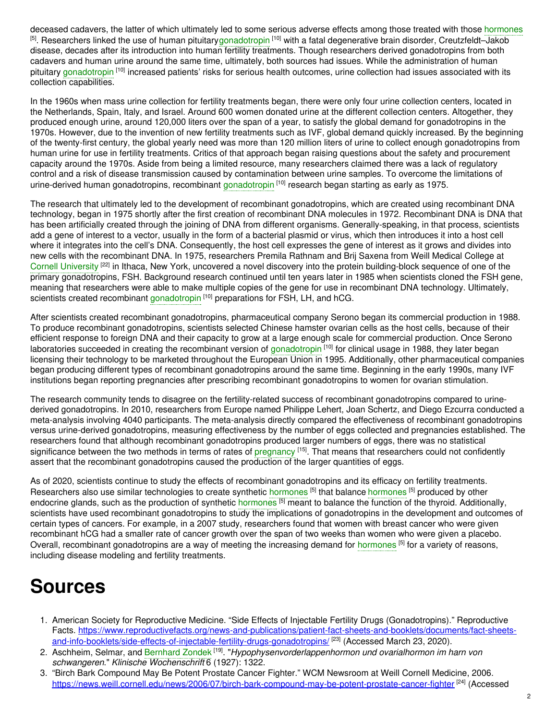deceased cadavers, the latter of which ultimately led to some serious adverse effects among those treated with those [hormones](https://embryo.asu.edu/search?text=hormones) <sup>[5]</sup>. Researchers linked the use of human pituitary[gonadotropin](https://embryo.asu.edu/search?text=gonadotropin) <sup>[10]</sup> with a fatal degenerative brain disorder, Creutzfeldt–Jakob disease, decades after its introduction into human fertility treatments. Though researchers derived gonadotropins from both cadavers and human urine around the same time, ultimately, both sources had issues. While the administration of human pituitary [gonadotropin](https://embryo.asu.edu/search?text=gonadotropin) <sup>[10]</sup> increased patients' risks for serious health outcomes, urine collection had issues associated with its collection capabilities.

In the 1960s when mass urine collection for fertility treatments began, there were only four urine collection centers, located in the Netherlands, Spain, Italy, and Israel. Around 600 women donated urine at the different collection centers. Altogether, they produced enough urine, around 120,000 liters over the span of a year, to satisfy the global demand for gonadotropins in the 1970s. However, due to the invention of new fertility treatments such as IVF, global demand quickly increased. By the beginning of the twenty-first century, the global yearly need was more than 120 million liters of urine to collect enough gonadotropins from human urine for use in fertility treatments. Critics of that approach began raising questions about the safety and procurement capacity around the 1970s. Aside from being a limited resource, many researchers claimed there was a lack of regulatory control and a risk of disease transmission caused by contamination between urine samples. To overcome the limitations of urine-derived human [gonadotropin](https://embryo.asu.edu/search?text=gonadotropin)s, recombinant gonadotropin <sup>[10]</sup> research began starting as early as 1975.

The research that ultimately led to the development of recombinant gonadotropins, which are created using recombinant DNA technology, began in 1975 shortly after the first creation of recombinant DNA molecules in 1972. Recombinant DNA is DNA that has been artificially created through the joining of DNA from different organisms. Generally-speaking, in that process, scientists add a gene of interest to a vector, usually in the form of a bacterial plasmid or virus, which then introduces it into a host cell where it integrates into the cell's DNA. Consequently, the host cell expresses the gene of interest as it grows and divides into new cells with the recombinant DNA. In 1975, researchers Premila Rathnam and Brij Saxena from Weill Medical College at Cornell [University](https://embryo.asu.edu/search?text=Cornell%20University) <sup>[22]</sup> in Ithaca, New York, uncovered a novel discovery into the protein building-block sequence of one of the primary gonadotropins, FSH. Background research continued until ten years later in 1985 when scientists cloned the FSH gene, meaning that researchers were able to make multiple copies of the gene for use in recombinant DNA technology. Ultimately, scientists created recombinant [gonadotropin](https://embryo.asu.edu/search?text=gonadotropin) <sup>[10]</sup> preparations for FSH, LH, and hCG.

After scientists created recombinant gonadotropins, pharmaceutical company Serono began its commercial production in 1988. To produce recombinant gonadotropins, scientists selected Chinese hamster ovarian cells as the host cells, because of their efficient response to foreign DNA and their capacity to grow at a large enough scale for commercial production. Once Serono laboratories succeeded in creating the recombinant version of [gonadotropin](https://embryo.asu.edu/search?text=gonadotropin) <sup>[10]</sup> for clinical usage in 1988, they later began licensing their technology to be marketed throughout the European Union in 1995. Additionally, other pharmaceutical companies began producing different types of recombinant gonadotropins around the same time. Beginning in the early 1990s, many IVF institutions began reporting pregnancies after prescribing recombinant gonadotropins to women for ovarian stimulation.

The research community tends to disagree on the fertility-related success of recombinant gonadotropins compared to urinederived gonadotropins. In 2010, researchers from Europe named Philippe Lehert, Joan Schertz, and Diego Ezcurra conducted a meta-analysis involving 4040 participants. The meta-analysis directly compared the effectiveness of recombinant gonadotropins versus urine-derived gonadotropins, measuring effectiveness by the number of eggs collected and pregnancies established. The researchers found that although recombinant gonadotropins produced larger numbers of eggs, there was no statistical significance between the two methods in terms of rates of [pregnancy](https://embryo.asu.edu/search?text=pregnancy) <sup>[15]</sup>. That means that researchers could not confidently assert that the recombinant gonadotropins caused the production of the larger quantities of eggs.

As of 2020, scientists continue to study the effects of recombinant gonadotropins and its efficacy on fertility treatments. Researchers also use similar technologies to create synthetic [hormones](https://embryo.asu.edu/search?text=hormones) <sup>[5]</sup> that balance hormones <sup>[5]</sup> produced by other endocrine glands, such as the production of synthetic [hormones](https://embryo.asu.edu/search?text=hormones) <sup>[5]</sup> meant to balance the function of the thyroid. Additionally, scientists have used recombinant gonadotropins to study the implications of gonadotropins in the development and outcomes of certain types of cancers. For example, in a 2007 study, researchers found that women with breast cancer who were given recombinant hCG had a smaller rate of cancer growth over the span of two weeks than women who were given a placebo. Overall, recombinant gonadotropins are a way of meeting the increasing demand for [hormones](https://embryo.asu.edu/search?text=hormones) [5] for a variety of reasons, including disease modeling and fertility treatments.

# **Sources**

- 1. American Society for Reproductive Medicine. "Side Effects of Injectable Fertility Drugs (Gonadotropins)." Reproductive Facts. [https://www.reproductivefacts.org/news-and-publications/patient-fact-sheets-and-booklets/documents/fact-sheets](https://www.reproductivefacts.org/news-and-publications/patient-fact-sheets-and-booklets/documents/fact-sheets-and-info-booklets/side-effects-of-injectable-fertility-drugs-gonadotropins/)and-info-booklets/side-effects-of-injectable-fertility-drugs-gonadotropins/ [23] (Accessed March 23, 2020).
- 2. Aschheim, Selmar, and [Bernhard](https://embryo.asu.edu/search?text=Bernhard%20Zondek) Zondek [19] . "*Hypophysenvorderlappenhormon und ovarialhormon im harn von schwangeren*." *Klinische Wochenschrift* 6 (1927): 1322.
- 3. "Birch Bark Compound May Be Potent Prostate Cancer Fighter." WCM Newsroom at Weill Cornell Medicine, 2006. <https://news.weill.cornell.edu/news/2006/07/birch-bark-compound-may-be-potent-prostate-cancer-fighter> <sup>[24]</sup> (Accessed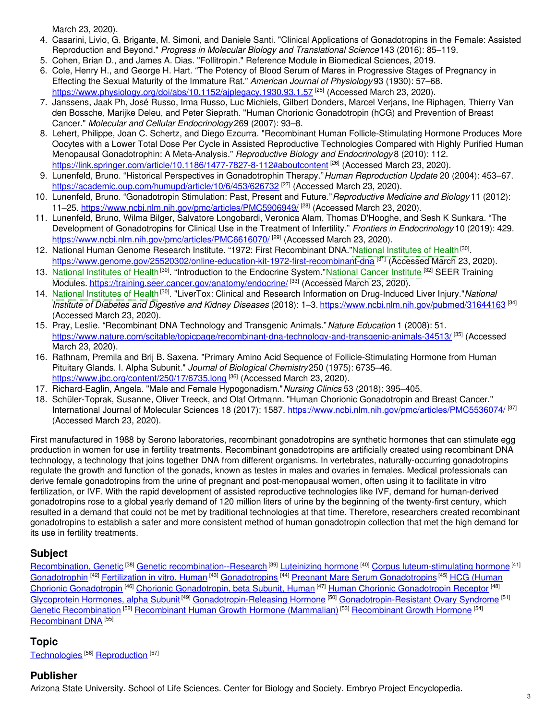March 23, 2020).

- 4. Casarini, Livio, G. Brigante, M. Simoni, and Daniele Santi. "Clinical Applications of Gonadotropins in the Female: Assisted Reproduction and Beyond." *Progress in Molecular Biology and Translational Science*143 (2016): 85–119.
- 5. Cohen, Brian D., and James A. Dias. "Follitropin." Reference Module in Biomedical Sciences, 2019.
- 6. Cole, Henry H., and George H. Hart. "The Potency of Blood Serum of Mares in Progressive Stages of Pregnancy in Effecting the Sexual Maturity of the Immature Rat." *American Journal of Physiology* 93 (1930): 57–68. <https://www.physiology.org/doi/abs/10.1152/ajplegacy.1930.93.1.57><sup>[25]</sup> (Accessed March 23, 2020).
- 7. Janssens, Jaak Ph, José Russo, Irma Russo, Luc Michiels, Gilbert Donders, Marcel Verjans, Ine Riphagen, Thierry Van den Bossche, Marijke Deleu, and Peter Sieprath. "Human Chorionic Gonadotropin (hCG) and Prevention of Breast Cancer." *Molecular and Cellular Endocrinology* 269 (2007): 93–8.
- 8. Lehert, Philippe, Joan C. Schertz, and Diego Ezcurra. "Recombinant Human Follicle-Stimulating Hormone Produces More Oocytes with a Lower Total Dose Per Cycle in Assisted Reproductive Technologies Compared with Highly Purified Human Menopausal Gonadotrophin: A Meta-Analysis." *Reproductive Biology and Endocrinology* 8 (2010): 112. <https://link.springer.com/article/10.1186/1477-7827-8-112#aboutcontent> <sup>[26]</sup> (Accessed March 23, 2020).
- 9. Lunenfeld, Bruno. "Historical Perspectives in Gonadotrophin Therapy."*Human Reproduction Update* 20 (2004): 453–67. <https://academic.oup.com/humupd/article/10/6/453/626732> <sup>[27]</sup> (Accessed March 23, 2020).
- 10. Lunenfeld, Bruno. "Gonadotropin Stimulation: Past, Present and Future."*Reproductive Medicine and Biology* 11 (2012): 11–25. <https://www.ncbi.nlm.nih.gov/pmc/articles/PMC5906949/><sup>[28]</sup> (Accessed March 23, 2020).
- 11. Lunenfeld, Bruno, Wilma Bilger, Salvatore Longobardi, Veronica Alam, Thomas D'Hooghe, and Sesh K Sunkara. "The Development of Gonadotropins for Clinical Use in the Treatment of Infertility." *Frontiers in Endocrinology* 10 (2019): 429. <https://www.ncbi.nlm.nih.gov/pmc/articles/PMC6616070/><sup>[29]</sup> (Accessed March 23, 2020).
- 12. National Human Genome Research Institute. "1972: First Recombinant DNA."National [Institutes](https://embryo.asu.edu/search?text=National%20Institutes%20of%20Health) of Health<sup>[30]</sup>. <https://www.genome.gov/25520302/online-education-kit-1972-first-recombinant-dna> <sup>[31]</sup> (Accessed March 23, 2020).
- 13. National [Institutes](https://embryo.asu.edu/search?text=National%20Institutes%20of%20Health) of Health<sup>[30]</sup>. "Introduction to the Endocrine System."[National](https://embryo.asu.edu/search?text=National%20Cancer%20Institute) Cancer Institute <sup>[32]</sup> SEER Training Modules. <https://training.seer.cancer.gov/anatomy/endocrine/> [33] (Accessed March 23, 2020).
- 14. National [Institutes](https://embryo.asu.edu/search?text=National%20Institutes%20of%20Health) of Health<sup>[30]</sup>. "LiverTox: Clinical and Research Information on Drug-Induced Liver Injury."National *Institute of Diabetes and Digestive and Kidney Diseases* (2018): 1–3. <https://www.ncbi.nlm.nih.gov/pubmed/31644163> [34] (Accessed March 23, 2020).
- 15. Pray, Leslie. "Recombinant DNA Technology and Transgenic Animals."*Nature Education* 1 (2008): 51. <https://www.nature.com/scitable/topicpage/recombinant-dna-technology-and-transgenic-animals-34513/><sup>[35]</sup> (Accessed March 23, 2020).
- 16. Rathnam, Premila and Brij B. Saxena. "Primary Amino Acid Sequence of Follicle-Stimulating Hormone from Human Pituitary Glands. I. Alpha Subunit." *Journal of Biological Chemistry*250 (1975): 6735–46. <https://www.jbc.org/content/250/17/6735.long> [36] (Accessed March 23, 2020).
- 17. Richard-Eaglin, Angela. "Male and Female Hypogonadism."*Nursing Clinics* 53 (2018): 395–405.
- 18. Schüler-Toprak, Susanne, Oliver Treeck, and Olaf Ortmann. "Human Chorionic Gonadotropin and Breast Cancer." International Journal of Molecular Sciences 18 (2017): 1587. <https://www.ncbi.nlm.nih.gov/pmc/articles/PMC5536074/><sup>[37]</sup> (Accessed March 23, 2020).

First manufactured in 1988 by Serono laboratories, recombinant gonadotropins are synthetic hormones that can stimulate egg production in women for use in fertility treatments. Recombinant gonadotropins are artificially created using recombinant DNA technology, a technology that joins together DNA from different organisms. In vertebrates, naturally-occurring gonadotropins regulate the growth and function of the gonads, known as testes in males and ovaries in females. Medical professionals can derive female gonadotropins from the urine of pregnant and post-menopausal women, often using it to facilitate in vitro fertilization, or IVF. With the rapid development of assisted reproductive technologies like IVF, demand for human-derived gonadotropins rose to a global yearly demand of 120 million liters of urine by the beginning of the twenty-first century, which resulted in a demand that could not be met by traditional technologies at that time. Therefore, researchers created recombinant gonadotropins to establish a safer and more consistent method of human gonadotropin collection that met the high demand for its use in fertility treatments.

## **Subject**

[Recombination,](https://embryo.asu.edu/library-congress-subject-headings/recombination-genetic) Genetic <sup>[38]</sup> Genetic [recombination--Research](https://embryo.asu.edu/library-congress-subject-headings/genetic-recombination-research) <sup>[39]</sup> [Luteinizing](https://embryo.asu.edu/library-congress-subject-headings/luteinizing-hormone) hormone <sup>[40]</sup> Corpus [luteum-stimulating](https://embryo.asu.edu/library-congress-subject-headings/corpus-luteum-stimulating-hormone) hormone <sup>[41]</sup> [Gonadotrophin](https://embryo.asu.edu/medical-subject-headings/hcg-human-chorionic-gonadotropin-0) <sup>[42]</sup> [Fertilization](https://embryo.asu.edu/library-congress-subject-headings/fertilization-vitro-human) in vitro, Human <sup>[43]</sup> [Gonadotropins](https://embryo.asu.edu/medical-subject-headings/pregnant-mare-serum-gonadotropins) <sup>[44]</sup> Pregnant Mare Serum Gonadotropins <sup>[45]</sup> HCG (Human Chorionic Gonadotropin <sup>[46]</sup> Chorionic [Gonadotropin,](https://embryo.asu.edu/medical-subject-headings/chorionic-gonadotropin-beta-subunit-human) beta Subunit, Human <sup>[47]</sup> Human Chorionic [Gonadotropin](https://embryo.asu.edu/medical-subject-headings/human-chorionic-gonadotropin-receptor) Receptor <sup>[48]</sup> [Glycoprotein](https://embryo.asu.edu/medical-subject-headings/glycoprotein-hormones-alpha-subunit) Hormones, alpha Subunit<sup>[49]</sup> [Gonadotropin-Releasing](https://embryo.asu.edu/medical-subject-headings/gonadotropin-releasing-hormone) Hormone <sup>[50]</sup> [Gonadotropin-Resistant](https://embryo.asu.edu/medical-subject-headings/gonadotropin-resistant-ovary-syndrome) Ovary Syndrome <sup>[51]</sup> Genetic [Recombination](https://embryo.asu.edu/medical-subject-headings/genetic-recombination) <sup>[52]</sup> [Recombinant](https://embryo.asu.edu/medical-subject-headings/recombinant-growth-hormone) Human Growth Hormone (Mammalian) <sup>[53]</sup> Recombinant Growth Hormone <sup>[54]</sup> [Recombinant](https://embryo.asu.edu/medical-subject-headings/recombinant-dna) DNA<sup>[55]</sup>

### **Topic**

[Technologies](https://embryo.asu.edu/topics/technologies) [56] [Reproduction](https://embryo.asu.edu/topics/reproduction) [57]

### **Publisher**

Arizona State University. School of Life Sciences. Center for Biology and Society. Embryo Project Encyclopedia.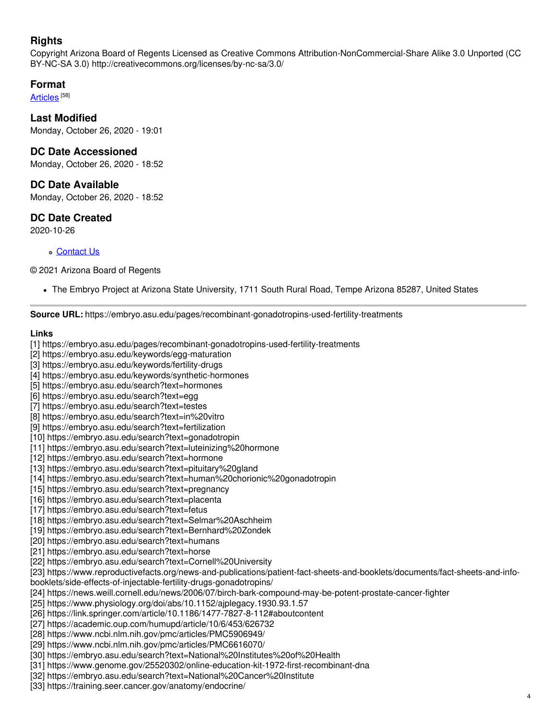## **Rights**

Copyright Arizona Board of Regents Licensed as Creative Commons Attribution-NonCommercial-Share Alike 3.0 Unported (CC BY-NC-SA 3.0) http://creativecommons.org/licenses/by-nc-sa/3.0/

#### **Format**

<u>[Articles](https://embryo.asu.edu/formats/articles)</u> [<sup>58]</sup>

#### **Last Modified**

Monday, October 26, 2020 - 19:01

#### **DC Date Accessioned**

Monday, October 26, 2020 - 18:52

#### **DC Date Available**

Monday, October 26, 2020 - 18:52

#### **DC Date Created**

2020-10-26

#### [Contact](https://embryo.asu.edu/contact) Us

© 2021 Arizona Board of Regents

The Embryo Project at Arizona State University, 1711 South Rural Road, Tempe Arizona 85287, United States

**Source URL:** https://embryo.asu.edu/pages/recombinant-gonadotropins-used-fertility-treatments

#### **Links**

[1] https://embryo.asu.edu/pages/recombinant-gonadotropins-used-fertility-treatments

- [2] https://embryo.asu.edu/keywords/egg-maturation
- [3] https://embryo.asu.edu/keywords/fertility-drugs
- [4] https://embryo.asu.edu/keywords/synthetic-hormones
- [5] https://embryo.asu.edu/search?text=hormones
- [6] https://embryo.asu.edu/search?text=egg
- [7] https://embryo.asu.edu/search?text=testes
- [8] https://embryo.asu.edu/search?text=in%20vitro
- [9] https://embryo.asu.edu/search?text=fertilization
- [10] https://embryo.asu.edu/search?text=gonadotropin
- [11] https://embryo.asu.edu/search?text=luteinizing%20hormone
- [12] https://embryo.asu.edu/search?text=hormone
- [13] https://embryo.asu.edu/search?text=pituitary%20gland
- [14] https://embryo.asu.edu/search?text=human%20chorionic%20gonadotropin
- [15] https://embryo.asu.edu/search?text=pregnancy
- [16] https://embryo.asu.edu/search?text=placenta
- [17] https://embryo.asu.edu/search?text=fetus
- [18] https://embryo.asu.edu/search?text=Selmar%20Aschheim
- [19] https://embryo.asu.edu/search?text=Bernhard%20Zondek
- [20] https://embryo.asu.edu/search?text=humans
- [21] https://embryo.asu.edu/search?text=horse
- [22] https://embryo.asu.edu/search?text=Cornell%20University
- [23] https://www.reproductivefacts.org/news-and-publications/patient-fact-sheets-and-booklets/documents/fact-sheets-and-info-
- booklets/side-effects-of-injectable-fertility-drugs-gonadotropins/
- [24] https://news.weill.cornell.edu/news/2006/07/birch-bark-compound-may-be-potent-prostate-cancer-fighter
- [25] https://www.physiology.org/doi/abs/10.1152/ajplegacy.1930.93.1.57
- [26] https://link.springer.com/article/10.1186/1477-7827-8-112#aboutcontent
- [27] https://academic.oup.com/humupd/article/10/6/453/626732
- [28] https://www.ncbi.nlm.nih.gov/pmc/articles/PMC5906949/
- [29] https://www.ncbi.nlm.nih.gov/pmc/articles/PMC6616070/
- [30] https://embryo.asu.edu/search?text=National%20Institutes%20of%20Health
- [31] https://www.genome.gov/25520302/online-education-kit-1972-first-recombinant-dna
- [32] https://embryo.asu.edu/search?text=National%20Cancer%20Institute
- [33] https://training.seer.cancer.gov/anatomy/endocrine/